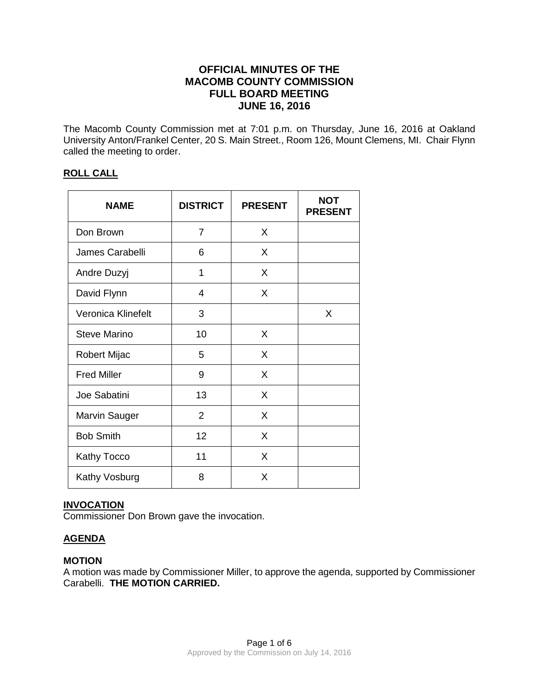# **OFFICIAL MINUTES OF THE MACOMB COUNTY COMMISSION FULL BOARD MEETING JUNE 16, 2016**

The Macomb County Commission met at 7:01 p.m. on Thursday, June 16, 2016 at Oakland University Anton/Frankel Center, 20 S. Main Street., Room 126, Mount Clemens, MI. Chair Flynn called the meeting to order.

## **ROLL CALL**

| <b>NAME</b>         | <b>DISTRICT</b> | <b>PRESENT</b> | <b>NOT</b><br><b>PRESENT</b> |
|---------------------|-----------------|----------------|------------------------------|
| Don Brown           | 7               | X              |                              |
| James Carabelli     | 6               | X              |                              |
| Andre Duzyj         | 1               | X              |                              |
| David Flynn         | 4               | X              |                              |
| Veronica Klinefelt  | 3               |                | X                            |
| <b>Steve Marino</b> | 10              | X              |                              |
| Robert Mijac        | 5               | X              |                              |
| <b>Fred Miller</b>  | 9               | X              |                              |
| Joe Sabatini        | 13              | X              |                              |
| Marvin Sauger       | $\overline{2}$  | X              |                              |
| <b>Bob Smith</b>    | 12              | X              |                              |
| Kathy Tocco         | 11              | X              |                              |
| Kathy Vosburg       | 8               | X              |                              |

## **INVOCATION**

Commissioner Don Brown gave the invocation.

# **AGENDA**

#### **MOTION**

A motion was made by Commissioner Miller, to approve the agenda, supported by Commissioner Carabelli. **THE MOTION CARRIED.**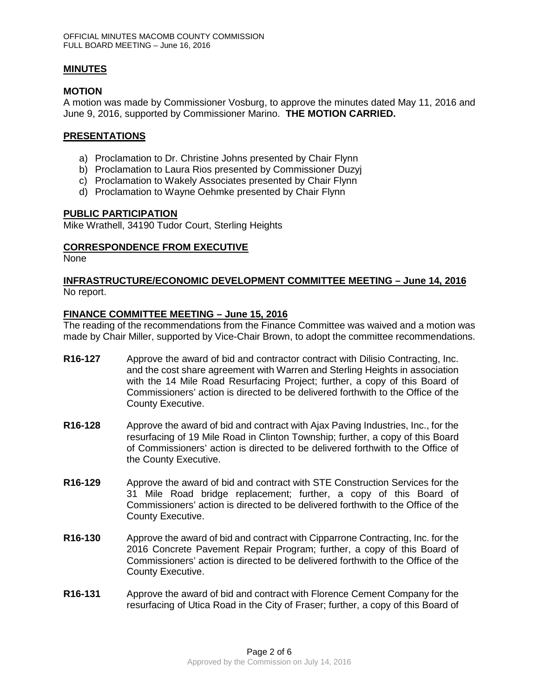### **MINUTES**

### **MOTION**

A motion was made by Commissioner Vosburg, to approve the minutes dated May 11, 2016 and June 9, 2016, supported by Commissioner Marino. **THE MOTION CARRIED.** 

#### **PRESENTATIONS**

- a) Proclamation to Dr. Christine Johns presented by Chair Flynn
- b) Proclamation to Laura Rios presented by Commissioner Duzyj
- c) Proclamation to Wakely Associates presented by Chair Flynn
- d) Proclamation to Wayne Oehmke presented by Chair Flynn

### **PUBLIC PARTICIPATION**

Mike Wrathell, 34190 Tudor Court, Sterling Heights

### **CORRESPONDENCE FROM EXECUTIVE**

None

### **INFRASTRUCTURE/ECONOMIC DEVELOPMENT COMMITTEE MEETING – June 14, 2016** No report.

### **FINANCE COMMITTEE MEETING – June 15, 2016**

The reading of the recommendations from the Finance Committee was waived and a motion was made by Chair Miller, supported by Vice-Chair Brown, to adopt the committee recommendations.

- **R16-127** Approve the award of bid and contractor contract with Dilisio Contracting, Inc. and the cost share agreement with Warren and Sterling Heights in association with the 14 Mile Road Resurfacing Project; further, a copy of this Board of Commissioners' action is directed to be delivered forthwith to the Office of the County Executive.
- **R16-128** Approve the award of bid and contract with Ajax Paving Industries, Inc., for the resurfacing of 19 Mile Road in Clinton Township; further, a copy of this Board of Commissioners' action is directed to be delivered forthwith to the Office of the County Executive.
- **R16-129** Approve the award of bid and contract with STE Construction Services for the 31 Mile Road bridge replacement; further, a copy of this Board of Commissioners' action is directed to be delivered forthwith to the Office of the County Executive.
- **R16-130** Approve the award of bid and contract with Cipparrone Contracting, Inc. for the 2016 Concrete Pavement Repair Program; further, a copy of this Board of Commissioners' action is directed to be delivered forthwith to the Office of the County Executive.
- **R16-131** Approve the award of bid and contract with Florence Cement Company for the resurfacing of Utica Road in the City of Fraser; further, a copy of this Board of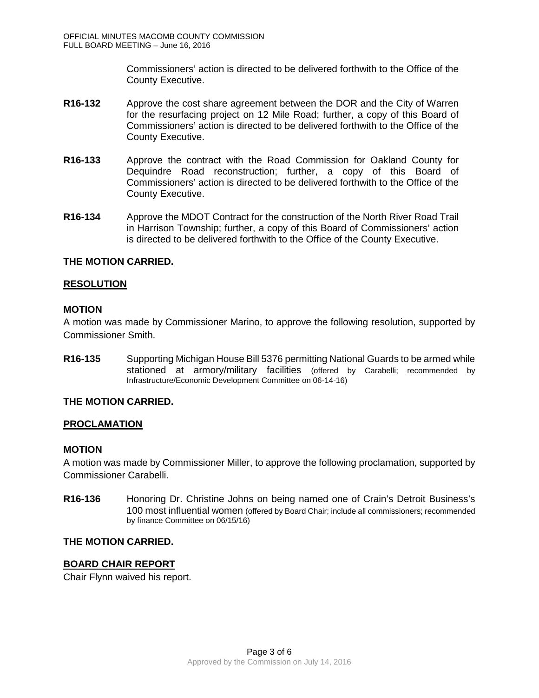Commissioners' action is directed to be delivered forthwith to the Office of the County Executive.

- **R16-132** Approve the cost share agreement between the DOR and the City of Warren for the resurfacing project on 12 Mile Road; further, a copy of this Board of Commissioners' action is directed to be delivered forthwith to the Office of the County Executive.
- **R16-133** Approve the contract with the Road Commission for Oakland County for Dequindre Road reconstruction; further, a copy of this Board of Commissioners' action is directed to be delivered forthwith to the Office of the County Executive.
- **R16-134** Approve the MDOT Contract for the construction of the North River Road Trail in Harrison Township; further, a copy of this Board of Commissioners' action is directed to be delivered forthwith to the Office of the County Executive.

## **THE MOTION CARRIED.**

## **RESOLUTION**

## **MOTION**

A motion was made by Commissioner Marino, to approve the following resolution, supported by Commissioner Smith.

**R16-135** Supporting Michigan House Bill 5376 permitting National Guards to be armed while stationed at armory/military facilities (offered by Carabelli; recommended by Infrastructure/Economic Development Committee on 06-14-16)

## **THE MOTION CARRIED.**

## **PROCLAMATION**

## **MOTION**

A motion was made by Commissioner Miller, to approve the following proclamation, supported by Commissioner Carabelli.

**R16-136** Honoring Dr. Christine Johns on being named one of Crain's Detroit Business's 100 most influential women (offered by Board Chair; include all commissioners; recommended by finance Committee on 06/15/16)

## **THE MOTION CARRIED.**

## **BOARD CHAIR REPORT**

Chair Flynn waived his report.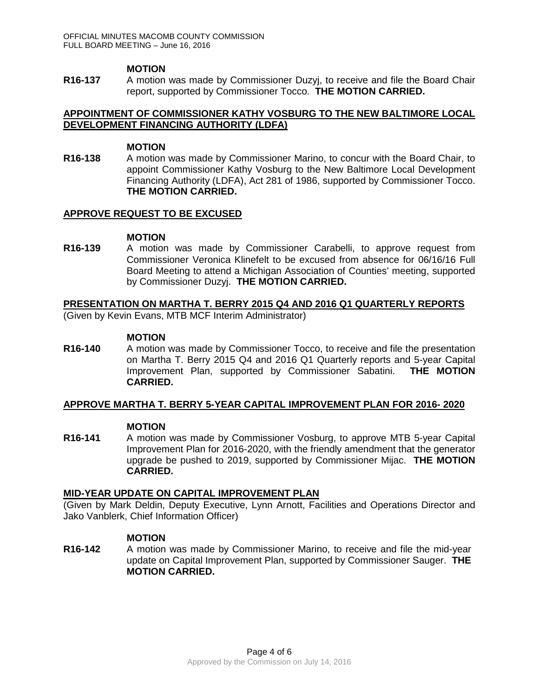#### **MOTION**

**R16-137** A motion was made by Commissioner Duzyj, to receive and file the Board Chair report, supported by Commissioner Tocco. **THE MOTION CARRIED.**

## **APPOINTMENT OF COMMISSIONER KATHY VOSBURG TO THE NEW BALTIMORE LOCAL DEVELOPMENT FINANCING AUTHORITY (LDFA)**

#### **MOTION**

**R16-138** A motion was made by Commissioner Marino, to concur with the Board Chair, to appoint Commissioner Kathy Vosburg to the New Baltimore Local Development Financing Authority (LDFA), Act 281 of 1986, supported by Commissioner Tocco. **THE MOTION CARRIED.**

### **APPROVE REQUEST TO BE EXCUSED**

### **MOTION**

**R16-139** A motion was made by Commissioner Carabelli, to approve request from Commissioner Veronica Klinefelt to be excused from absence for 06/16/16 Full Board Meeting to attend a Michigan Association of Counties' meeting, supported by Commissioner Duzyj. **THE MOTION CARRIED.** 

### **PRESENTATION ON MARTHA T. BERRY 2015 Q4 AND 2016 Q1 QUARTERLY REPORTS**

(Given by Kevin Evans, MTB MCF Interim Administrator)

### **MOTION**

**R16-140** A motion was made by Commissioner Tocco, to receive and file the presentation on Martha T. Berry 2015 Q4 and 2016 Q1 Quarterly reports and 5-year Capital Improvement Plan, supported by Commissioner Sabatini. **THE MOTION CARRIED.**

## **APPROVE MARTHA T. BERRY 5-YEAR CAPITAL IMPROVEMENT PLAN FOR 2016- 2020**

#### **MOTION**

**R16-141** A motion was made by Commissioner Vosburg, to approve MTB 5-year Capital Improvement Plan for 2016-2020, with the friendly amendment that the generator upgrade be pushed to 2019, supported by Commissioner Mijac. **THE MOTION CARRIED.**

#### **MID-YEAR UPDATE ON CAPITAL IMPROVEMENT PLAN**

(Given by Mark Deldin, Deputy Executive, Lynn Arnott, Facilities and Operations Director and Jako Vanblerk, Chief Information Officer)

## **MOTION**

**R16-142** A motion was made by Commissioner Marino, to receive and file the mid-year update on Capital Improvement Plan, supported by Commissioner Sauger. **THE MOTION CARRIED.**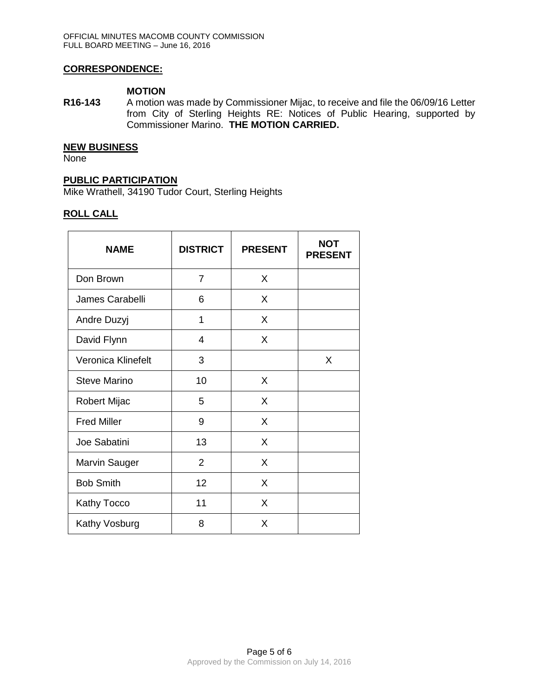### **CORRESPONDENCE:**

#### **MOTION**

**R16-143** A motion was made by Commissioner Mijac, to receive and file the 06/09/16 Letter from City of Sterling Heights RE: Notices of Public Hearing, supported by Commissioner Marino. **THE MOTION CARRIED.**

#### **NEW BUSINESS**

**None** 

## **PUBLIC PARTICIPATION**

Mike Wrathell, 34190 Tudor Court, Sterling Heights

### **ROLL CALL**

| <b>NAME</b>          | <b>DISTRICT</b> | <b>PRESENT</b> | <b>NOT</b><br><b>PRESENT</b> |
|----------------------|-----------------|----------------|------------------------------|
| Don Brown            | $\overline{7}$  | X              |                              |
| James Carabelli      | 6               | X              |                              |
| Andre Duzyj          | 1               | X              |                              |
| David Flynn          | 4               | X              |                              |
| Veronica Klinefelt   | 3               |                | X                            |
| <b>Steve Marino</b>  | 10              | X              |                              |
| Robert Mijac         | 5               | X              |                              |
| <b>Fred Miller</b>   | 9               | X              |                              |
| Joe Sabatini         | 13              | X              |                              |
| <b>Marvin Sauger</b> | $\overline{2}$  | X              |                              |
| <b>Bob Smith</b>     | 12              | X              |                              |
| Kathy Tocco          | 11              | X              |                              |
| Kathy Vosburg        | 8               | X              |                              |